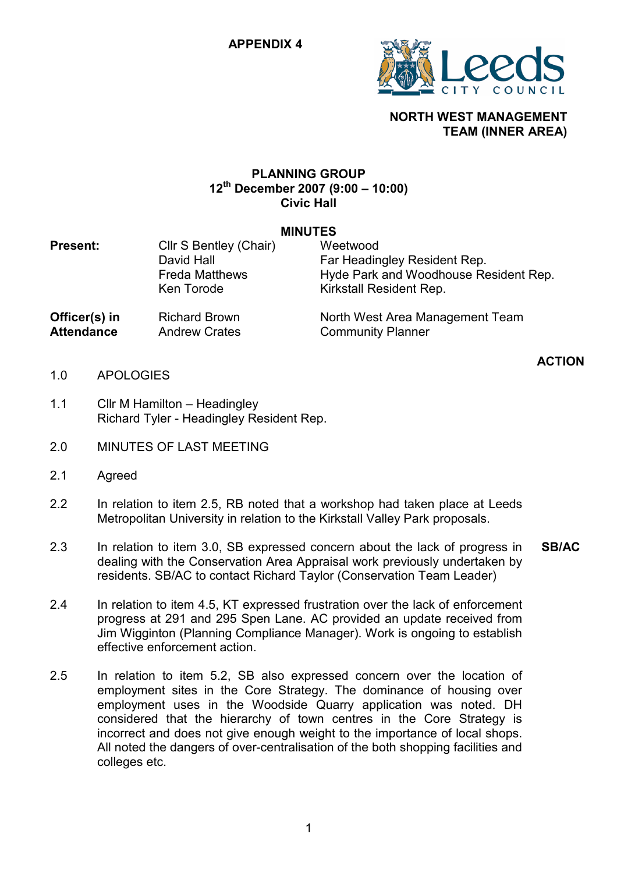

# NORTH WEST MANAGEMENT TEAM (INNER AREA)

## PLANNING GROUP  $12^{th}$  December 2007 (9:00 – 10:00) Civic Hall

#### MINUTES

| <b>Present:</b>   | Cllr S Bentley (Chair)<br>David Hall<br><b>Freda Matthews</b><br>Ken Torode | Weetwood<br>Far Headingley Resident Rep.<br>Hyde Park and Woodhouse Resident Rep.<br>Kirkstall Resident Rep. |
|-------------------|-----------------------------------------------------------------------------|--------------------------------------------------------------------------------------------------------------|
| Officer(s) in     | <b>Richard Brown</b>                                                        | North West Area Management Team                                                                              |
| <b>Attendance</b> | <b>Andrew Crates</b>                                                        | <b>Community Planner</b>                                                                                     |

- ACTION 1.0 APOLOGIES
- 1.1 Cllr M Hamilton – Headingley Richard Tyler - Headingley Resident Rep.
- 2.0 MINUTES OF LAST MEETING
- 2.1 Agreed
- 2.2 In relation to item 2.5, RB noted that a workshop had taken place at Leeds Metropolitan University in relation to the Kirkstall Valley Park proposals.
- 2.3 In relation to item 3.0, SB expressed concern about the lack of progress in dealing with the Conservation Area Appraisal work previously undertaken by residents. SB/AC to contact Richard Taylor (Conservation Team Leader) SB/AC
- 2.4 In relation to item 4.5, KT expressed frustration over the lack of enforcement progress at 291 and 295 Spen Lane. AC provided an update received from Jim Wigginton (Planning Compliance Manager). Work is ongoing to establish effective enforcement action.
- 2.5 In relation to item 5.2, SB also expressed concern over the location of employment sites in the Core Strategy. The dominance of housing over employment uses in the Woodside Quarry application was noted. DH considered that the hierarchy of town centres in the Core Strategy is incorrect and does not give enough weight to the importance of local shops. All noted the dangers of over-centralisation of the both shopping facilities and colleges etc.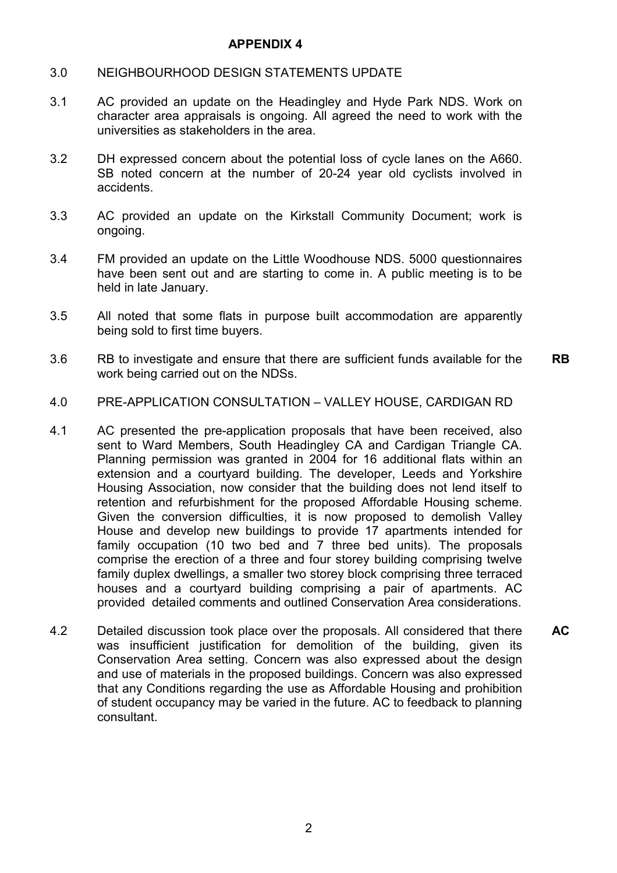### APPENDIX 4

- 3.0 NEIGHBOURHOOD DESIGN STATEMENTS UPDATE
- 3.1 AC provided an update on the Headingley and Hyde Park NDS. Work on character area appraisals is ongoing. All agreed the need to work with the universities as stakeholders in the area.
- 3.2 DH expressed concern about the potential loss of cycle lanes on the A660. SB noted concern at the number of 20-24 year old cyclists involved in accidents.
- 3.3 AC provided an update on the Kirkstall Community Document; work is ongoing.
- 3.4 FM provided an update on the Little Woodhouse NDS. 5000 questionnaires have been sent out and are starting to come in. A public meeting is to be held in late January.
- 3.5 All noted that some flats in purpose built accommodation are apparently being sold to first time buyers.
- 3.6 RB to investigate and ensure that there are sufficient funds available for the work being carried out on the NDSs. RB
- 4.0 PRE-APPLICATION CONSULTATION – VALLEY HOUSE, CARDIGAN RD
- 4.1 AC presented the pre-application proposals that have been received, also sent to Ward Members, South Headingley CA and Cardigan Triangle CA. Planning permission was granted in 2004 for 16 additional flats within an extension and a courtyard building. The developer, Leeds and Yorkshire Housing Association, now consider that the building does not lend itself to retention and refurbishment for the proposed Affordable Housing scheme. Given the conversion difficulties, it is now proposed to demolish Valley House and develop new buildings to provide 17 apartments intended for family occupation (10 two bed and 7 three bed units). The proposals comprise the erection of a three and four storey building comprising twelve family duplex dwellings, a smaller two storey block comprising three terraced houses and a courtyard building comprising a pair of apartments. AC provided detailed comments and outlined Conservation Area considerations.
- 4.2 Detailed discussion took place over the proposals. All considered that there was insufficient justification for demolition of the building, given its Conservation Area setting. Concern was also expressed about the design and use of materials in the proposed buildings. Concern was also expressed that any Conditions regarding the use as Affordable Housing and prohibition of student occupancy may be varied in the future. AC to feedback to planning consultant. AC